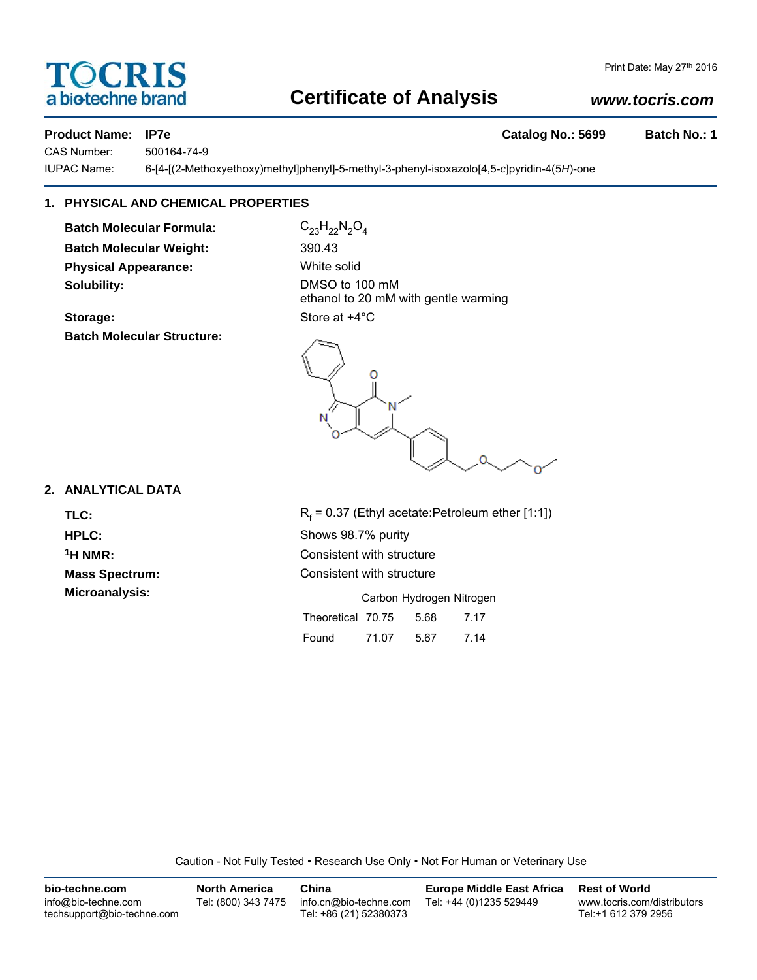# TOCRIS a biotechne brand

# **Certificate of Analysis**

### *www.tocris.com*

**Product Name: IP7e Catalog No.: 5699 Batch No.: 1**

CAS Number: 500164-74-9

IUPAC Name: 6-[4-[(2-Methoxyethoxy)methyl]phenyl]-5-methyl-3-phenyl-isoxazolo[4,5-*c*]pyridin-4(5*H*)-one

## **1. PHYSICAL AND CHEMICAL PROPERTIES**

**Batch Molecular Formula:** C<sub>23</sub>H<sub>22</sub>N<sub>2</sub>O<sub>4</sub> **Batch Molecular Weight:** 390.43 **Physical Appearance:** White solid **Solubility:** DMSO to 100 mM

**Storage:** Store at  $+4^{\circ}$ C **Batch Molecular Structure:**

ethanol to 20 mM with gentle warming



### **2. ANALYTICAL DATA**

TLC: R<sub>f</sub>

 $R_f$  = 0.37 (Ethyl acetate:Petroleum ether [1:1]) **HPLC:** Shows 98.7% purity <sup>1</sup>H NMR: Consistent with structure **Mass Spectrum:** Consistent with structure **Microanalysis:** Carbon Hydrogen Nitrogen Theoretical 70.75 5.68 7.17

Found 71.07 5.67 7.14

Caution - Not Fully Tested • Research Use Only • Not For Human or Veterinary Use

| bio-techne.com                                    | <b>North America</b> | China                                            | <b>Europe Middle East Africa</b> | <b>Rest of World</b>                               |
|---------------------------------------------------|----------------------|--------------------------------------------------|----------------------------------|----------------------------------------------------|
| info@bio-techne.com<br>techsupport@bio-techne.com | Tel: (800) 343 7475  | info.cn@bio-techne.com<br>Tel: +86 (21) 52380373 | Tel: +44 (0)1235 529449          | www.tocris.com/distributors<br>Tel:+1 612 379 2956 |